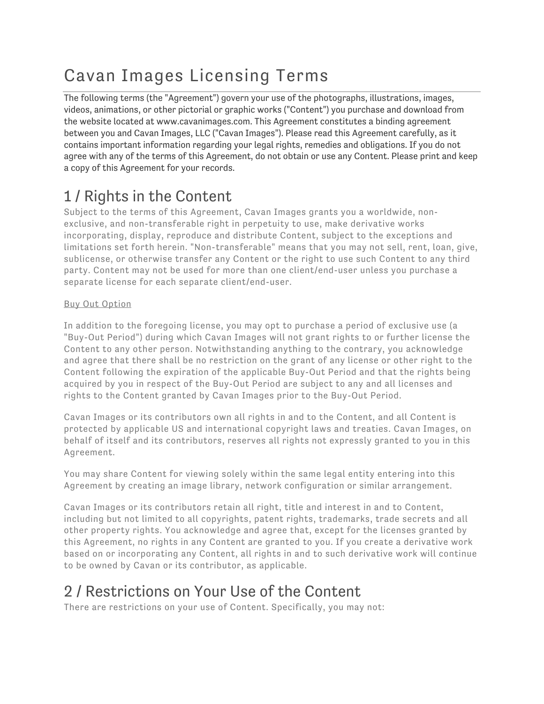# Cavan Images Licensing Terms

The following terms (the "Agreement") govern your use of the photographs, illustrations, images, videos, animations, or other pictorial or graphic works ("Content") you purchase and download from the website located at www.cavanimages.com. This Agreement constitutes a binding agreement between you and Cavan Images, LLC ("Cavan Images"). Please read this Agreement carefully, as it contains important information regarding your legal rights, remedies and obligations. If you do not agree with any of the terms of this Agreement, do not obtain or use any Content. Please print and keep a copy of this Agreement for your records.

## 1 / Rights in the Content

Subject to the terms of this Agreement, Cavan Images grants you a worldwide, nonexclusive, and non-transferable right in perpetuity to use, make derivative works incorporating, display, reproduce and distribute Content, subject to the exceptions and limitations set forth herein. "Non-transferable" means that you may not sell, rent, loan, give, sublicense, or otherwise transfer any Content or the right to use such Content to any third party. Content may not be used for more than one client/end-user unless you purchase a separate license for each separate client/end-user.

#### Buy Out Option

In addition to the foregoing license, you may opt to purchase a period of exclusive use (a "Buy-Out Period") during which Cavan Images will not grant rights to or further license the Content to any other person. Notwithstanding anything to the contrary, you acknowledge and agree that there shall be no restriction on the grant of any license or other right to the Content following the expiration of the applicable Buy-Out Period and that the rights being acquired by you in respect of the Buy-Out Period are subject to any and all licenses and rights to the Content granted by Cavan Images prior to the Buy-Out Period.

Cavan Images or its contributors own all rights in and to the Content, and all Content is protected by applicable US and international copyright laws and treaties. Cavan Images, on behalf of itself and its contributors, reserves all rights not expressly granted to you in this Agreement.

You may share Content for viewing solely within the same legal entity entering into this Agreement by creating an image library, network configuration or similar arrangement.

Cavan Images or its contributors retain all right, title and interest in and to Content, including but not limited to all copyrights, patent rights, trademarks, trade secrets and all other property rights. You acknowledge and agree that, except for the licenses granted by this Agreement, no rights in any Content are granted to you. If you create a derivative work based on or incorporating any Content, all rights in and to such derivative work will continue to be owned by Cavan or its contributor, as applicable.

## 2 / Restrictions on Your Use of the Content

There are restrictions on your use of Content. Specifically, you may not: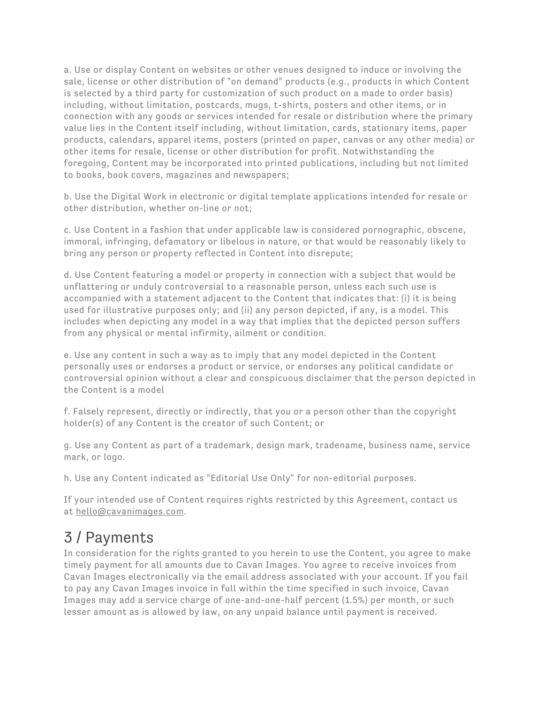a. Use or display Content on websites or other venues designed to induce or involving the sale, license or other distribution of "on demand" products (e.g., products in which Content is selected by a third party for customization of such product on a made to order basis) including, without limitation, postcards, mugs, t-shirts, posters and other items, or in connection with any goods or services intended for resale or distribution where the primary value lies in the Content itself including, without limitation, cards, stationary items, paper products, calendars, apparel items, posters (printed on paper, canvas or any other media) or other items for resale, license or other distribution for profit. Notwithstanding the foregoing, Content may be incorporated into printed publications, including but not limited to books, book covers, magazines and newspapers;

b. Use the Digital Work in electronic or digital template applications intended for resale or other distribution, whether on-line or not;

c. Use Content in a fashion that under applicable law is considered pornographic, obscene, immoral, infringing, defamatory or libelous in nature, or that would be reasonably likely to bring any person or property reflected in Content into disrepute;

d. Use Content featuring a model or property in connection with a subject that would be unflattering or unduly controversial to a reasonable person, unless each such use is accompanied with a statement adjacent to the Content that indicates that: (i) it is being used for illustrative purposes only; and (ii) any person depicted, if any, is a model. This includes when depicting any model in a way that implies that the depicted person suffers from any physical or mental infirmity, ailment or condition.

e. Use any content in such a way as to imply that any model depicted in the Content personally uses or endorses a product or service, or endorses any political candidate or controversial opinion without a clear and conspicuous disclaimer that the person depicted in the Content is a model

f. Falsely represent, directly or indirectly, that you or a person other than the copyright holder(s) of any Content is the creator of such Content; or

g. Use any Content as part of a trademark, design mark, tradename, business name, service mark, or logo.

h. Use any Content indicated as "Editorial Use Only" for non-editorial purposes.

If your intended use of Content requires rights restricted by this Agreement, contact us at hello@cavanimages.com.

### 3 / Payments

In consideration for the rights granted to you herein to use the Content, you agree to make timely payment for all amounts due to Cavan Images. You agree to receive invoices from Cavan Images electronically via the email address associated with your account. If you fail to pay any Cavan Images invoice in full within the time specified in such invoice, Cavan Images may add a service charge of one-and-one-half percent (1.5%) per month, or such lesser amount as is allowed by law, on any unpaid balance until payment is received.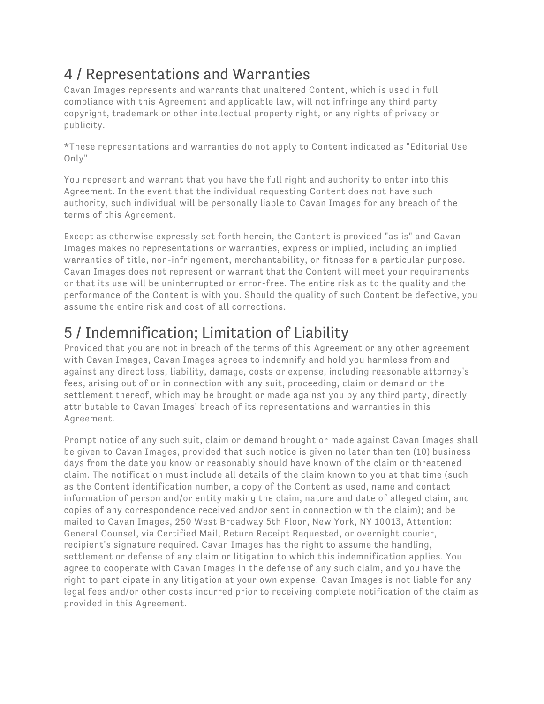## 4 / Representations and Warranties

Cavan Images represents and warrants that unaltered Content, which is used in full compliance with this Agreement and applicable law, will not infringe any third party copyright, trademark or other intellectual property right, or any rights of privacy or publicity.

\*These representations and warranties do not apply to Content indicated as "Editorial Use Only"

You represent and warrant that you have the full right and authority to enter into this Agreement. In the event that the individual requesting Content does not have such authority, such individual will be personally liable to Cavan Images for any breach of the terms of this Agreement.

Except as otherwise expressly set forth herein, the Content is provided "as is" and Cavan Images makes no representations or warranties, express or implied, including an implied warranties of title, non-infringement, merchantability, or fitness for a particular purpose. Cavan Images does not represent or warrant that the Content will meet your requirements or that its use will be uninterrupted or error-free. The entire risk as to the quality and the performance of the Content is with you. Should the quality of such Content be defective, you assume the entire risk and cost of all corrections.

## 5 / Indemnification; Limitation of Liability

Provided that you are not in breach of the terms of this Agreement or any other agreement with Cavan Images, Cavan Images agrees to indemnify and hold you harmless from and against any direct loss, liability, damage, costs or expense, including reasonable attorney's fees, arising out of or in connection with any suit, proceeding, claim or demand or the settlement thereof, which may be brought or made against you by any third party, directly attributable to Cavan Images' breach of its representations and warranties in this Agreement.

Prompt notice of any such suit, claim or demand brought or made against Cavan Images shall be given to Cavan Images, provided that such notice is given no later than ten (10) business days from the date you know or reasonably should have known of the claim or threatened claim. The notification must include all details of the claim known to you at that time (such as the Content identification number, a copy of the Content as used, name and contact information of person and/or entity making the claim, nature and date of alleged claim, and copies of any correspondence received and/or sent in connection with the claim); and be mailed to Cavan Images, 250 West Broadway 5th Floor, New York, NY 10013, Attention: General Counsel, via Certified Mail, Return Receipt Requested, or overnight courier, recipient's signature required. Cavan Images has the right to assume the handling, settlement or defense of any claim or litigation to which this indemnification applies. You agree to cooperate with Cavan Images in the defense of any such claim, and you have the right to participate in any litigation at your own expense. Cavan Images is not liable for any legal fees and/or other costs incurred prior to receiving complete notification of the claim as provided in this Agreement.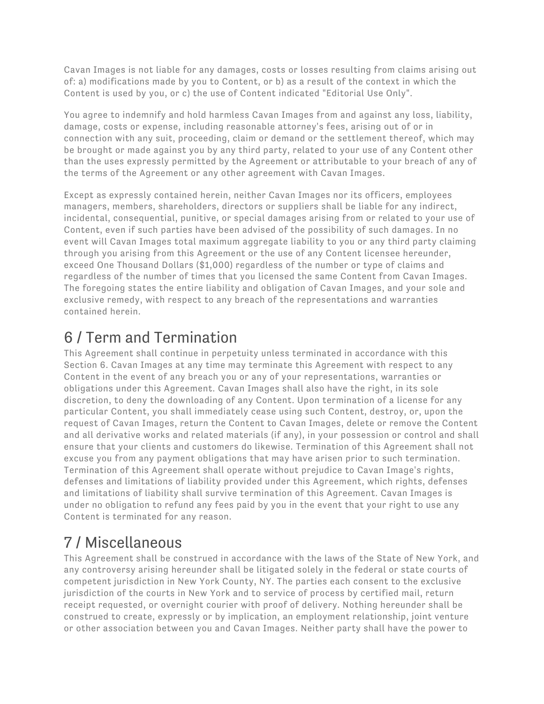Cavan Images is not liable for any damages, costs or losses resulting from claims arising out of: a) modifications made by you to Content, or b) as a result of the context in which the Content is used by you, or c) the use of Content indicated "Editorial Use Only".

You agree to indemnify and hold harmless Cavan Images from and against any loss, liability, damage, costs or expense, including reasonable attorney's fees, arising out of or in connection with any suit, proceeding, claim or demand or the settlement thereof, which may be brought or made against you by any third party, related to your use of any Content other than the uses expressly permitted by the Agreement or attributable to your breach of any of the terms of the Agreement or any other agreement with Cavan Images.

Except as expressly contained herein, neither Cavan Images nor its officers, employees managers, members, shareholders, directors or suppliers shall be liable for any indirect, incidental, consequential, punitive, or special damages arising from or related to your use of Content, even if such parties have been advised of the possibility of such damages. In no event will Cavan Images total maximum aggregate liability to you or any third party claiming through you arising from this Agreement or the use of any Content licensee hereunder, exceed One Thousand Dollars (\$1,000) regardless of the number or type of claims and regardless of the number of times that you licensed the same Content from Cavan Images. The foregoing states the entire liability and obligation of Cavan Images, and your sole and exclusive remedy, with respect to any breach of the representations and warranties contained herein.

## 6 / Term and Termination

This Agreement shall continue in perpetuity unless terminated in accordance with this Section 6. Cavan Images at any time may terminate this Agreement with respect to any Content in the event of any breach you or any of your representations, warranties or obligations under this Agreement. Cavan Images shall also have the right, in its sole discretion, to deny the downloading of any Content. Upon termination of a license for any particular Content, you shall immediately cease using such Content, destroy, or, upon the request of Cavan Images, return the Content to Cavan Images, delete or remove the Content and all derivative works and related materials (if any), in your possession or control and shall ensure that your clients and customers do likewise. Termination of this Agreement shall not excuse you from any payment obligations that may have arisen prior to such termination. Termination of this Agreement shall operate without prejudice to Cavan Image's rights, defenses and limitations of liability provided under this Agreement, which rights, defenses and limitations of liability shall survive termination of this Agreement. Cavan Images is under no obligation to refund any fees paid by you in the event that your right to use any Content is terminated for any reason.

## 7 / Miscellaneous

This Agreement shall be construed in accordance with the laws of the State of New York, and any controversy arising hereunder shall be litigated solely in the federal or state courts of competent jurisdiction in New York County, NY. The parties each consent to the exclusive jurisdiction of the courts in New York and to service of process by certified mail, return receipt requested, or overnight courier with proof of delivery. Nothing hereunder shall be construed to create, expressly or by implication, an employment relationship, joint venture or other association between you and Cavan Images. Neither party shall have the power to